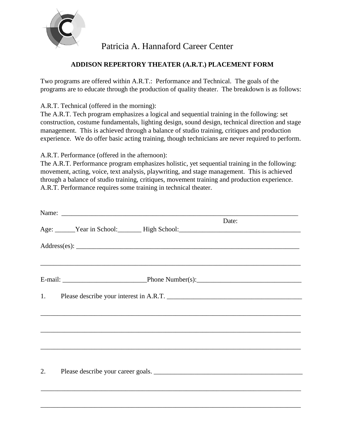

## Patricia A. Hannaford Career Center

## **ADDISON REPERTORY THEATER (A.R.T.) PLACEMENT FORM**

Two programs are offered within A.R.T.: Performance and Technical. The goals of the programs are to educate through the production of quality theater. The breakdown is as follows:

A.R.T. Technical (offered in the morning):

The A.R.T. Tech program emphasizes a logical and sequential training in the following: set construction, costume fundamentals, lighting design, sound design, technical direction and stage management. This is achieved through a balance of studio training, critiques and production experience. We do offer basic acting training, though technicians are never required to perform.

A.R.T. Performance (offered in the afternoon):

The A.R.T. Performance program emphasizes holistic, yet sequential training in the following: movement, acting, voice, text analysis, playwriting, and stage management. This is achieved through a balance of studio training, critiques, movement training and production experience. A.R.T. Performance requires some training in technical theater.

|    | Name: Name:                                                                                                                                                  |       |
|----|--------------------------------------------------------------------------------------------------------------------------------------------------------------|-------|
|    | Age: Vear in School: High School: High School:                                                                                                               | Date: |
|    |                                                                                                                                                              |       |
|    |                                                                                                                                                              |       |
|    |                                                                                                                                                              |       |
|    | <u>,这就是这个人的人,我们就是这个人的人,我们就是这个人的人,我们就是这个人的人,我们就是这个人的人,我们就是这个人的人,我们就是</u><br>,我们也不能在这里的时候,我们也不能在这里的时候,我们也不能会在这里的时候,我们也不能会在这里的时候,我们也不能会在这里的时候,我们也不能会在这里的时候,我们也不 |       |
|    |                                                                                                                                                              |       |
| 2. | Please describe your career goals.                                                                                                                           |       |
|    |                                                                                                                                                              |       |